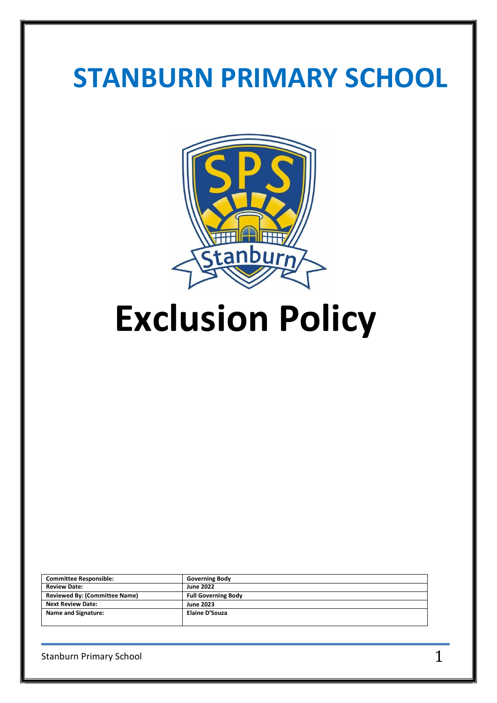# **STANBURN PRIMARY SCHOOL**



**Exclusion Policy**

| <b>Committee Responsible:</b>        | <b>Governing Body</b>      |
|--------------------------------------|----------------------------|
| <b>Review Date:</b>                  | <b>June 2022</b>           |
| <b>Reviewed By: (Committee Name)</b> | <b>Full Governing Body</b> |
| <b>Next Review Date:</b>             | <b>June 2023</b>           |
| <b>Name and Signature:</b>           | Elaine D'Souza             |
|                                      |                            |

Stanburn Primary School  $1$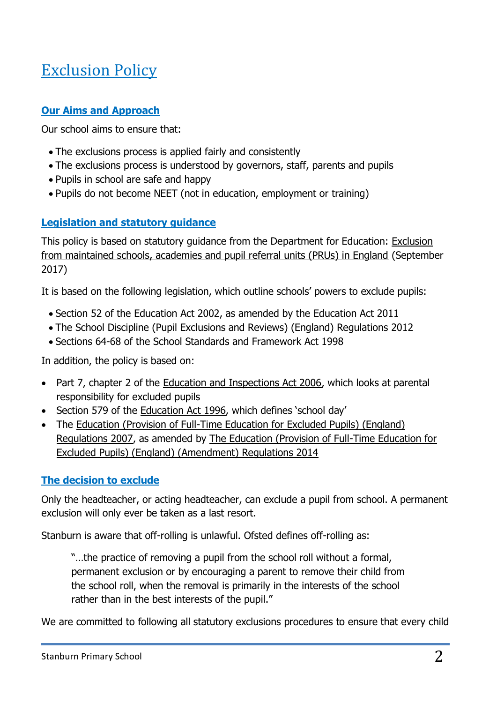# Exclusion Policy

## **Our Aims and Approach**

Our school aims to ensure that:

- The exclusions process is applied fairly and consistently
- The exclusions process is understood by governors, staff, parents and pupils
- Pupils in school are safe and happy
- Pupils do not become NEET (not in education, employment or training)

# **Legislation and statutory guidance**

This policy is based on statutory guidance from the Department for Education: Exclusion [from maintained schools, academies and pupil referral units \(PRUs\) in England](https://www.gov.uk/government/publications/school-exclusion) (September 2017)

It is based on the following legislation, which outline schools' powers to exclude pupils:

- Section 52 of the [Education Act 2002,](http://www.legislation.gov.uk/ukpga/2002/32/section/52) as amended by the [Education Act 2011](http://www.legislation.gov.uk/ukpga/2011/21/contents/enacted)
- [The School Discipline \(Pupil Exclusions and Reviews\) \(England\) Regulations 2012](http://www.legislation.gov.uk/uksi/2012/1033/made)
- Sections 64-68 of the [School Standards and Framework Act 1998](http://www.legislation.gov.uk/ukpga/1998/31)

In addition, the policy is based on:

- Part 7, chapter 2 of the [Education and Inspections Act 2006,](http://www.legislation.gov.uk/ukpga/2006/40/part/7/chapter/2) which looks at parental responsibility for excluded pupils
- Section 579 of the [Education Act 1996](http://www.legislation.gov.uk/ukpga/1996/56/section/579), which defines 'school day'
- The Education (Provision of Full-Time Education for Excluded Pupils) (England) [Regulations 2007,](http://www.legislation.gov.uk/uksi/2007/1870/contents/made) as amended by [The Education \(Provision of Full-Time Education for](http://www.legislation.gov.uk/uksi/2014/3216/contents/made)  [Excluded Pupils\) \(England\) \(Amendment\) Regulations 2014](http://www.legislation.gov.uk/uksi/2014/3216/contents/made)

### **The decision to exclude**

Only the headteacher, or acting headteacher, can exclude a pupil from school. A permanent exclusion will only ever be taken as a last resort.

Stanburn is aware that off-rolling is unlawful. Ofsted defines off-rolling as:

"…the practice of removing a pupil from the school roll without a formal, permanent exclusion or by encouraging a parent to remove their child from the school roll, when the removal is primarily in the interests of the school rather than in the best interests of the pupil."

We are committed to following all statutory exclusions procedures to ensure that every child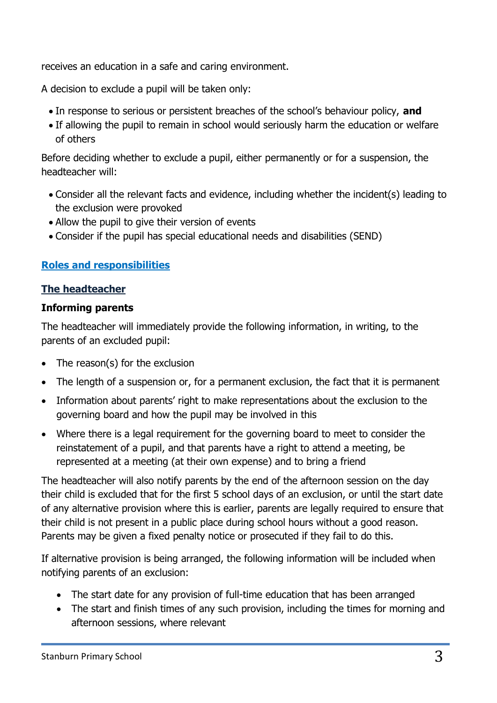receives an education in a safe and caring environment.

A decision to exclude a pupil will be taken only:

- In response to serious or persistent breaches of the school's behaviour policy, **and**
- If allowing the pupil to remain in school would seriously harm the education or welfare of others

Before deciding whether to exclude a pupil, either permanently or for a suspension, the headteacher will:

- Consider all the relevant facts and evidence, including whether the incident(s) leading to the exclusion were provoked
- Allow the pupil to give their version of events
- Consider if the pupil has special educational needs and disabilities (SEND)

#### **Roles and responsibilities**

#### **The headteacher**

#### **Informing parents**

The headteacher will immediately provide the following information, in writing, to the parents of an excluded pupil:

- The reason(s) for the exclusion
- The length of a suspension or, for a permanent exclusion, the fact that it is permanent
- Information about parents' right to make representations about the exclusion to the governing board and how the pupil may be involved in this
- Where there is a legal requirement for the governing board to meet to consider the reinstatement of a pupil, and that parents have a right to attend a meeting, be represented at a meeting (at their own expense) and to bring a friend

The headteacher will also notify parents by the end of the afternoon session on the day their child is excluded that for the first 5 school days of an exclusion, or until the start date of any alternative provision where this is earlier, parents are legally required to ensure that their child is not present in a public place during school hours without a good reason. Parents may be given a fixed penalty notice or prosecuted if they fail to do this.

If alternative provision is being arranged, the following information will be included when notifying parents of an exclusion:

- The start date for any provision of full-time education that has been arranged
- The start and finish times of any such provision, including the times for morning and afternoon sessions, where relevant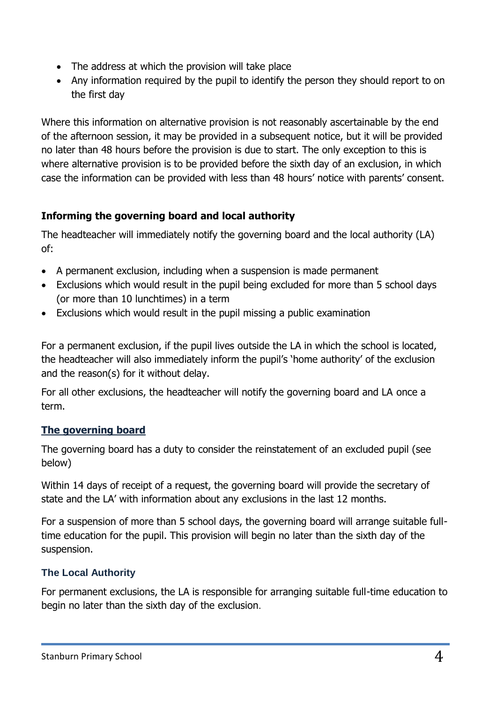- The address at which the provision will take place
- Any information required by the pupil to identify the person they should report to on the first day

Where this information on alternative provision is not reasonably ascertainable by the end of the afternoon session, it may be provided in a subsequent notice, but it will be provided no later than 48 hours before the provision is due to start. The only exception to this is where alternative provision is to be provided before the sixth day of an exclusion, in which case the information can be provided with less than 48 hours' notice with parents' consent.

### **Informing the governing board and local authority**

The headteacher will immediately notify the governing board and the local authority (LA) of:

- A permanent exclusion, including when a suspension is made permanent
- Exclusions which would result in the pupil being excluded for more than 5 school days (or more than 10 lunchtimes) in a term
- Exclusions which would result in the pupil missing a public examination

For a permanent exclusion, if the pupil lives outside the LA in which the school is located, the headteacher will also immediately inform the pupil's 'home authority' of the exclusion and the reason(s) for it without delay.

For all other exclusions, the headteacher will notify the governing board and LA once a term.

### **The governing board**

The governing board has a duty to consider the reinstatement of an excluded pupil (see below)

Within 14 days of receipt of a request, the governing board will provide the secretary of state and the LA' with information about any exclusions in the last 12 months.

For a suspension of more than 5 school days, the governing board will arrange suitable fulltime education for the pupil. This provision will begin no later than the sixth day of the suspension.

#### **The Local Authority**

For permanent exclusions, the LA is responsible for arranging suitable full-time education to begin no later than the sixth day of the exclusion.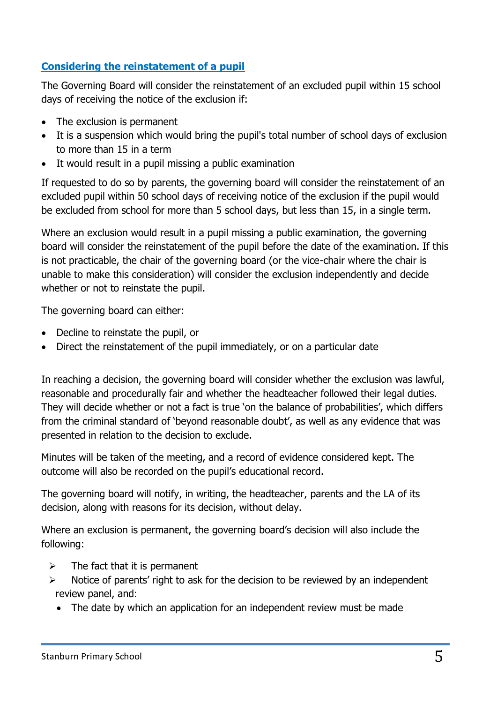## **Considering the reinstatement of a pupil**

The Governing Board will consider the reinstatement of an excluded pupil within 15 school days of receiving the notice of the exclusion if:

- The exclusion is permanent
- It is a suspension which would bring the pupil's total number of school days of exclusion to more than 15 in a term
- It would result in a pupil missing a public examination

If requested to do so by parents, the governing board will consider the reinstatement of an excluded pupil within 50 school days of receiving notice of the exclusion if the pupil would be excluded from school for more than 5 school days, but less than 15, in a single term.

Where an exclusion would result in a pupil missing a public examination, the governing board will consider the reinstatement of the pupil before the date of the examination. If this is not practicable, the chair of the governing board (or the vice-chair where the chair is unable to make this consideration) will consider the exclusion independently and decide whether or not to reinstate the pupil.

The governing board can either:

- Decline to reinstate the pupil, or
- Direct the reinstatement of the pupil immediately, or on a particular date

In reaching a decision, the governing board will consider whether the exclusion was lawful, reasonable and procedurally fair and whether the headteacher followed their legal duties. They will decide whether or not a fact is true 'on the balance of probabilities', which differs from the criminal standard of 'beyond reasonable doubt', as well as any evidence that was presented in relation to the decision to exclude.

Minutes will be taken of the meeting, and a record of evidence considered kept. The outcome will also be recorded on the pupil's educational record.

The governing board will notify, in writing, the headteacher, parents and the LA of its decision, along with reasons for its decision, without delay.

Where an exclusion is permanent, the governing board's decision will also include the following:

- $\triangleright$  The fact that it is permanent
- $\triangleright$  Notice of parents' right to ask for the decision to be reviewed by an independent review panel, and:
	- The date by which an application for an independent review must be made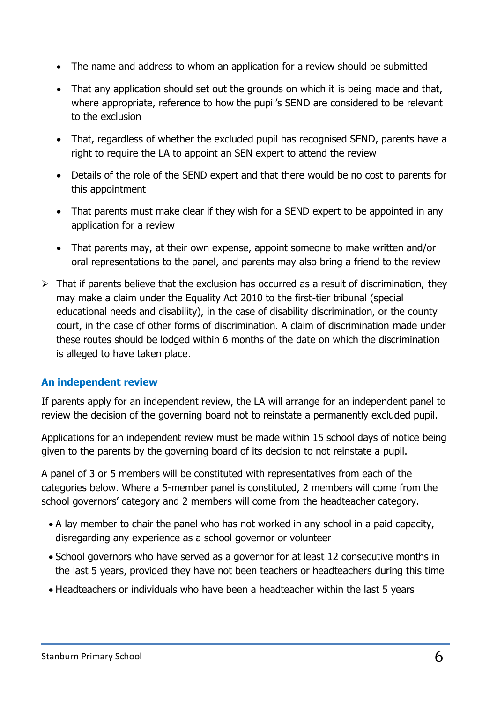- The name and address to whom an application for a review should be submitted
- That any application should set out the grounds on which it is being made and that, where appropriate, reference to how the pupil's SEND are considered to be relevant to the exclusion
- That, regardless of whether the excluded pupil has recognised SEND, parents have a right to require the LA to appoint an SEN expert to attend the review
- Details of the role of the SEND expert and that there would be no cost to parents for this appointment
- That parents must make clear if they wish for a SEND expert to be appointed in any application for a review
- That parents may, at their own expense, appoint someone to make written and/or oral representations to the panel, and parents may also bring a friend to the review
- $\triangleright$  That if parents believe that the exclusion has occurred as a result of discrimination, they may make a claim under the Equality Act 2010 to the first-tier tribunal (special educational needs and disability), in the case of disability discrimination, or the county court, in the case of other forms of discrimination. A claim of discrimination made under these routes should be lodged within 6 months of the date on which the discrimination is alleged to have taken place.

#### **An independent review**

If parents apply for an independent review, the LA will arrange for an independent panel to review the decision of the governing board not to reinstate a permanently excluded pupil.

Applications for an independent review must be made within 15 school days of notice being given to the parents by the governing board of its decision to not reinstate a pupil.

A panel of 3 or 5 members will be constituted with representatives from each of the categories below. Where a 5-member panel is constituted, 2 members will come from the school governors' category and 2 members will come from the headteacher category.

- A lay member to chair the panel who has not worked in any school in a paid capacity, disregarding any experience as a school governor or volunteer
- School governors who have served as a governor for at least 12 consecutive months in the last 5 years, provided they have not been teachers or headteachers during this time
- Headteachers or individuals who have been a headteacher within the last 5 years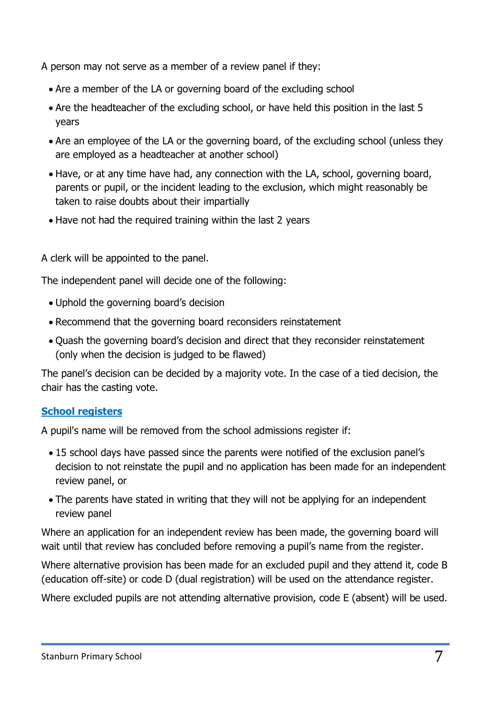A person may not serve as a member of a review panel if they:

- Are a member of the LA or governing board of the excluding school
- Are the headteacher of the excluding school, or have held this position in the last 5 years
- Are an employee of the LA or the governing board, of the excluding school (unless they are employed as a headteacher at another school)
- Have, or at any time have had, any connection with the LA, school, governing board, parents or pupil, or the incident leading to the exclusion, which might reasonably be taken to raise doubts about their impartially
- Have not had the required training within the last 2 years

A clerk will be appointed to the panel.

The independent panel will decide one of the following:

- Uphold the governing board's decision
- Recommend that the governing board reconsiders reinstatement
- Quash the governing board's decision and direct that they reconsider reinstatement (only when the decision is judged to be flawed)

The panel's decision can be decided by a majority vote. In the case of a tied decision, the chair has the casting vote.

### **School registers**

A pupil's name will be removed from the school admissions register if:

- 15 school days have passed since the parents were notified of the exclusion panel's decision to not reinstate the pupil and no application has been made for an independent review panel, or
- The parents have stated in writing that they will not be applying for an independent review panel

Where an application for an independent review has been made, the governing board will wait until that review has concluded before removing a pupil's name from the register.

Where alternative provision has been made for an excluded pupil and they attend it, code B (education off-site) or code D (dual registration) will be used on the attendance register.

Where excluded pupils are not attending alternative provision, code E (absent) will be used.